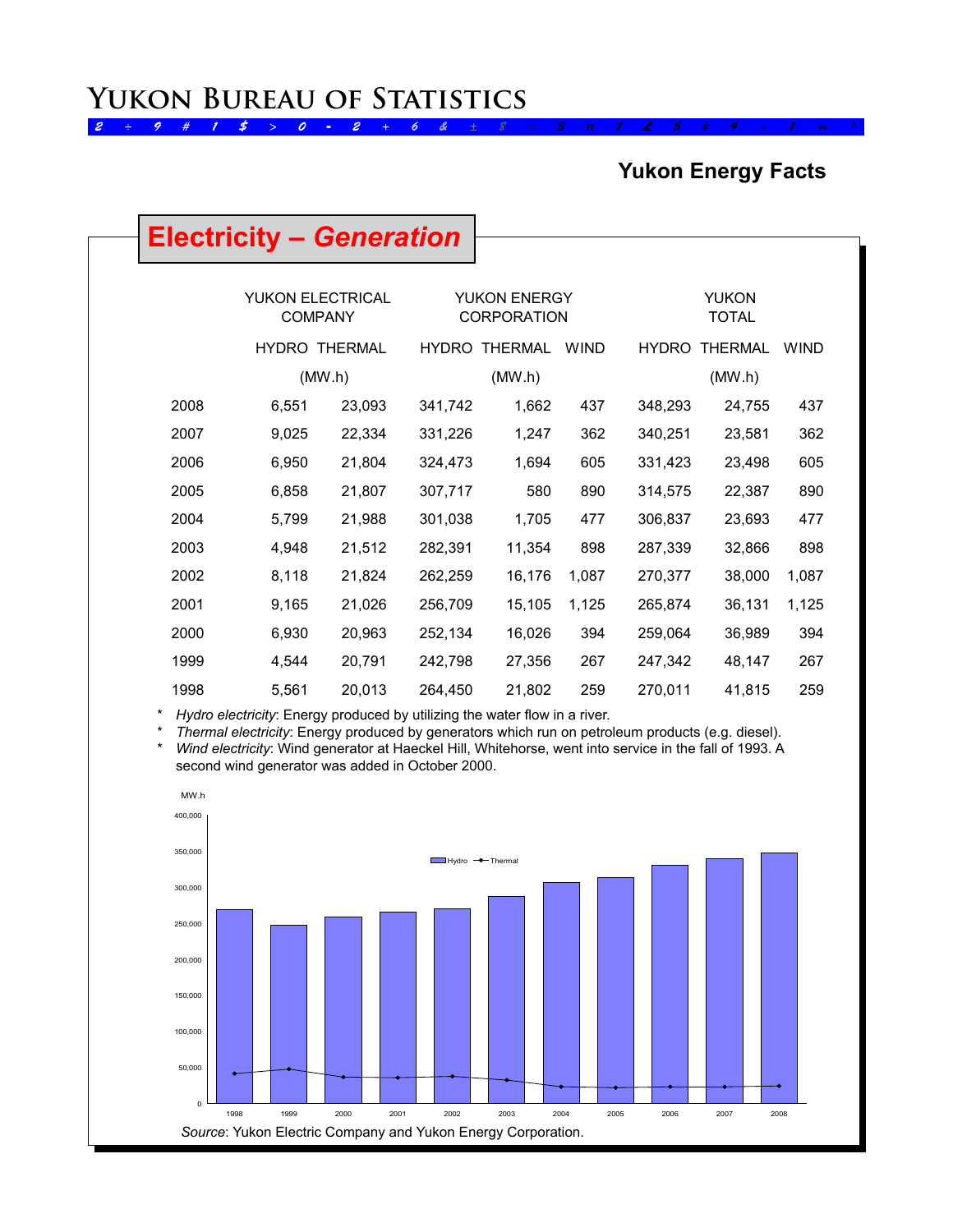### **Yukon Energy Facts**

## **Electricity –** *Generation*

|      | <b>YUKON ELECTRICAL</b><br><b>COMPANY</b> |                |              | <b>YUKON ENERGY</b><br><b>CORPORATION</b> |             |              | <b>YUKON</b><br><b>TOTAL</b> |             |
|------|-------------------------------------------|----------------|--------------|-------------------------------------------|-------------|--------------|------------------------------|-------------|
|      | <b>HYDRO</b>                              | <b>THERMAL</b> | <b>HYDRO</b> | <b>THERMAL</b>                            | <b>WIND</b> | <b>HYDRO</b> | <b>THERMAL</b>               | <b>WIND</b> |
|      | (MW.h)                                    |                |              | (MW.h)                                    |             |              | (MW.h)                       |             |
| 2008 | 6,551                                     | 23,093         | 341,742      | 1,662                                     | 437         | 348,293      | 24,755                       | 437         |
| 2007 | 9,025                                     | 22,334         | 331,226      | 1,247                                     | 362         | 340,251      | 23,581                       | 362         |
| 2006 | 6,950                                     | 21,804         | 324,473      | 1,694                                     | 605         | 331,423      | 23,498                       | 605         |
| 2005 | 6,858                                     | 21,807         | 307,717      | 580                                       | 890         | 314,575      | 22,387                       | 890         |
| 2004 | 5,799                                     | 21,988         | 301,038      | 1,705                                     | 477         | 306,837      | 23,693                       | 477         |
| 2003 | 4,948                                     | 21,512         | 282,391      | 11,354                                    | 898         | 287,339      | 32,866                       | 898         |
| 2002 | 8,118                                     | 21,824         | 262,259      | 16,176                                    | 1,087       | 270,377      | 38,000                       | 1,087       |
| 2001 | 9,165                                     | 21,026         | 256,709      | 15,105                                    | 1,125       | 265,874      | 36,131                       | 1,125       |
| 2000 | 6,930                                     | 20,963         | 252,134      | 16,026                                    | 394         | 259,064      | 36,989                       | 394         |
| 1999 | 4,544                                     | 20,791         | 242,798      | 27,356                                    | 267         | 247,342      | 48,147                       | 267         |
| 1998 | 5,561                                     | 20,013         | 264,450      | 21,802                                    | 259         | 270,011      | 41,815                       | 259         |

\* *Hydro electricity*: Energy produced by utilizing the water flow in a river.

\* *Thermal electricity*: Energy produced by generators which run on petroleum products (e.g. diesel). Wind electricity: Wind generator at Haeckel Hill, Whitehorse, went into service in the fall of 1993. A

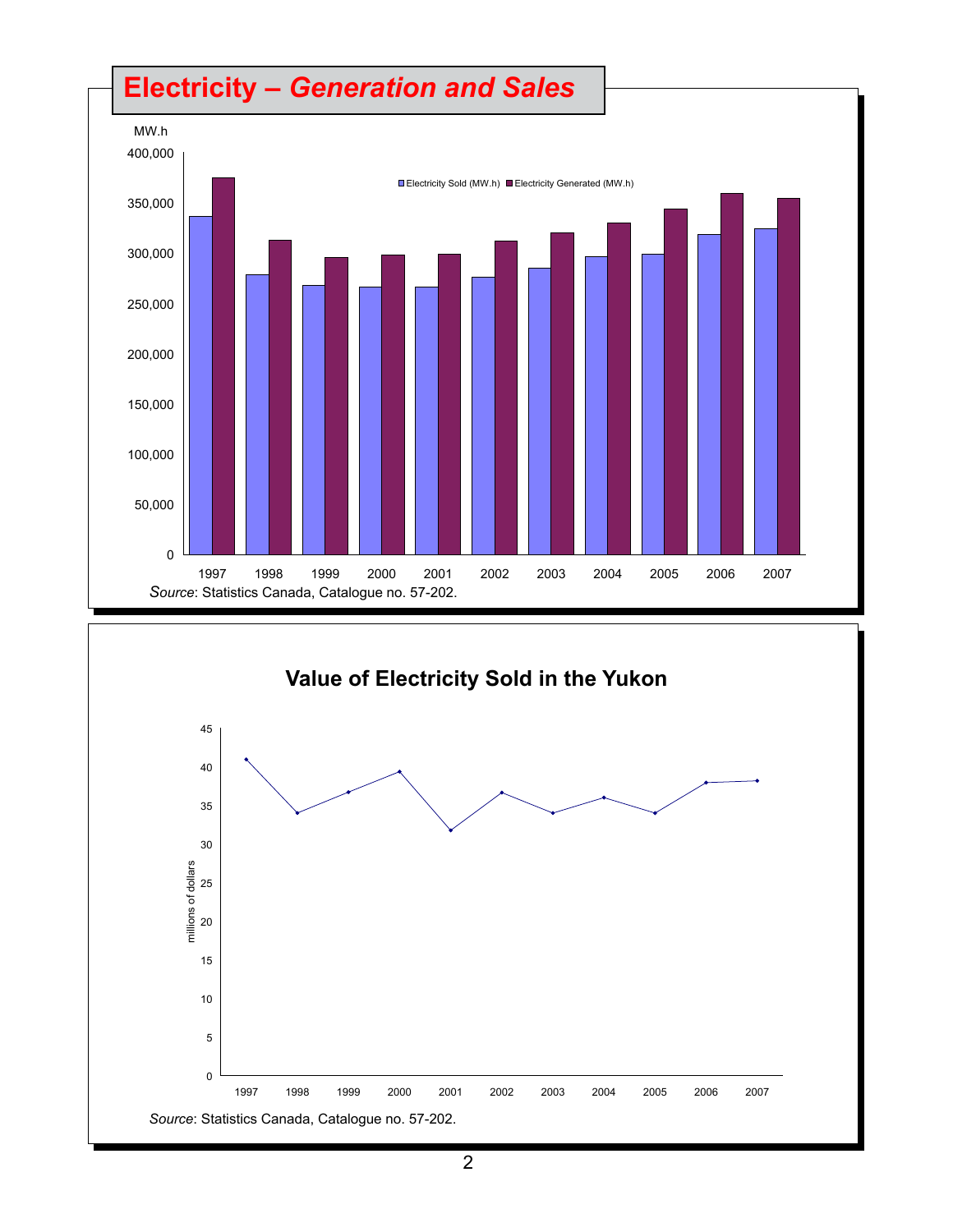# **Electricity** *– Generation and Sales*



![](_page_1_Figure_2.jpeg)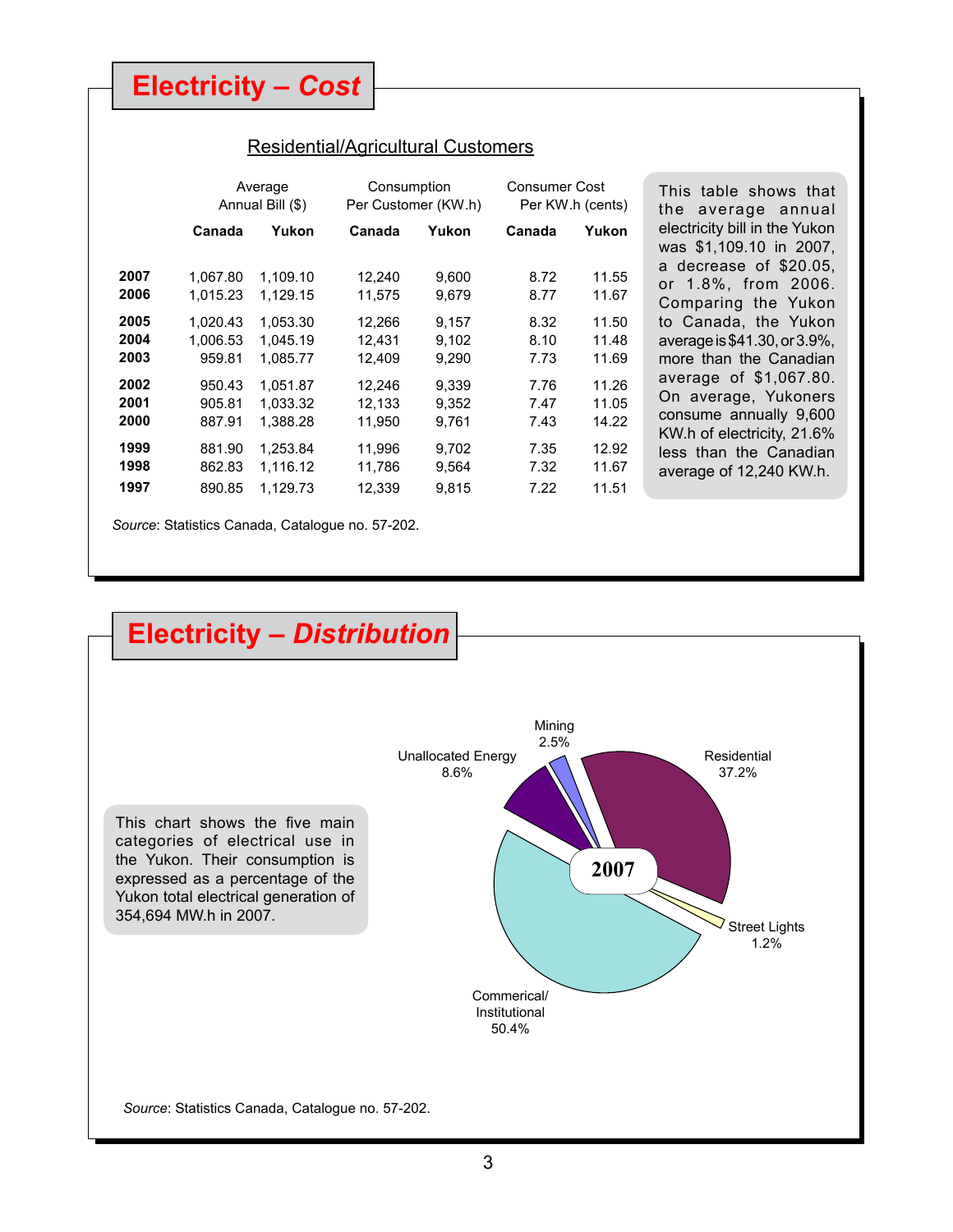**Electricity –** *Cost*

#### Residential/Agricultural Customers

|                                              |                                                              | Average<br>Annual Bill (\$)                                          | Consumption                                              | Per Customer (KW.h)                                | Consumer Cost                                | Per KW.h (cents)                                   | This table shows that<br>the average annual                                                                                                                                              |
|----------------------------------------------|--------------------------------------------------------------|----------------------------------------------------------------------|----------------------------------------------------------|----------------------------------------------------|----------------------------------------------|----------------------------------------------------|------------------------------------------------------------------------------------------------------------------------------------------------------------------------------------------|
|                                              | Canada                                                       | Yukon                                                                | Canada                                                   | Yukon                                              | Canada                                       | Yukon                                              | electricity bill in the Yukon<br>was \$1,109.10 in 2007,                                                                                                                                 |
| 2007<br>2006                                 | 1.067.80<br>1.015.23                                         | 1.109.10<br>1.129.15                                                 | 12,240<br>11,575                                         | 9,600<br>9,679                                     | 8.72<br>8.77                                 | 11.55<br>11.67                                     | a decrease of \$20.05,<br>or 1.8%, from 2006.<br>Comparing the Yukon                                                                                                                     |
| 2005<br>2004<br>2003<br>2002<br>2001<br>2000 | 1.020.43<br>1.006.53<br>959.81<br>950.43<br>905.81<br>887.91 | 1.053.30<br>1.045.19<br>1.085.77<br>1.051.87<br>1.033.32<br>1.388.28 | 12.266<br>12.431<br>12.409<br>12.246<br>12,133<br>11,950 | 9.157<br>9,102<br>9,290<br>9.339<br>9,352<br>9,761 | 8.32<br>8.10<br>7.73<br>7.76<br>7.47<br>7.43 | 11.50<br>11.48<br>11.69<br>11.26<br>11.05<br>14.22 | to Canada, the Yukon<br>average is \$41.30, or 3.9%,<br>more than the Canadian<br>average of \$1,067.80.<br>On average, Yukoners<br>consume annually 9,600<br>KW.h of electricity, 21.6% |
| 1999<br>1998<br>1997                         | 881.90<br>862.83<br>890.85                                   | 1.253.84<br>1,116.12<br>1,129.73                                     | 11.996<br>11,786<br>12,339                               | 9,702<br>9,564<br>9,815                            | 7.35<br>7.32<br>7.22                         | 12.92<br>11.67<br>11.51                            | less than the Canadian<br>average of 12,240 KW.h.                                                                                                                                        |

*Source*: Statistics Canada, Catalogue no. 57-202.

## **Electricity –** *Distribution*

This chart shows the five main categories of electrical use in the Yukon. Their consumption is expressed as a percentage of the Yukon total electrical generation of 354,694 MW.h in 2007.

![](_page_2_Figure_6.jpeg)

*Source*: Statistics Canada, Catalogue no. 57-202.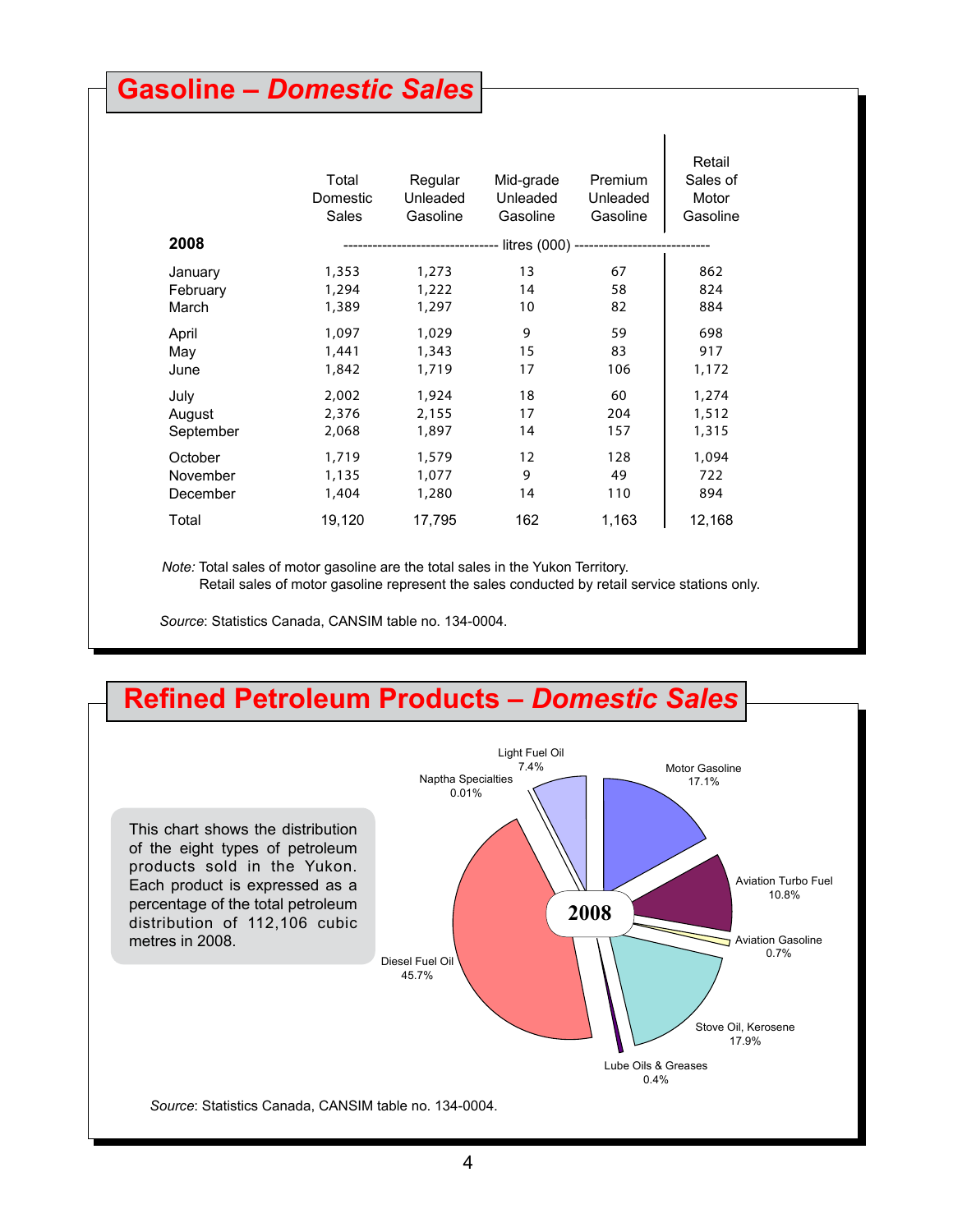### **Gasoline –** *Domestic Sales*

|           | Total<br>Domestic<br>Sales | Regular<br>Unleaded<br>Gasoline | Mid-grade<br>Unleaded<br>Gasoline                                         | Premium<br>Unleaded<br>Gasoline | Retail<br>Sales of<br>Motor<br>Gasoline |
|-----------|----------------------------|---------------------------------|---------------------------------------------------------------------------|---------------------------------|-----------------------------------------|
| 2008      |                            |                                 | ------------------------------- litres (000) ---------------------------- |                                 |                                         |
| January   | 1,353                      | 1,273                           | 13                                                                        | 67                              | 862                                     |
| February  | 1,294                      | 1,222                           | 14                                                                        | 58                              | 824                                     |
| March     | 1,389                      | 1,297                           | 10                                                                        | 82                              | 884                                     |
| April     | 1,097                      | 1,029                           | 9                                                                         | 59                              | 698                                     |
| May       | 1,441                      | 1,343                           | 15                                                                        | 83                              | 917                                     |
| June      | 1,842                      | 1,719                           | 17                                                                        | 106                             | 1,172                                   |
| July      | 2,002                      | 1,924                           | 18                                                                        | 60                              | 1,274                                   |
| August    | 2,376                      | 2,155                           | 17                                                                        | 204                             | 1,512                                   |
| September | 2,068                      | 1,897                           | 14                                                                        | 157                             | 1,315                                   |
| October   | 1,719                      | 1,579                           | 12                                                                        | 128                             | 1,094                                   |
| November  | 1,135                      | 1,077                           | 9                                                                         | 49                              | 722                                     |
| December  | 1,404                      | 1,280                           | 14                                                                        | 110                             | 894                                     |
| Total     | 19,120                     | 17,795                          | 162                                                                       | 1,163                           | 12,168                                  |

 $\blacksquare$ 

 *Note:* Total sales of motor gasoline are the total sales in the Yukon Territory. Retail sales of motor gasoline represent the sales conducted by retail service stations only.

*Source*: Statistics Canada, CANSIM table no. 134-0004.

### **Refined Petroleum Products –** *Domestic Sales*

![](_page_3_Figure_5.jpeg)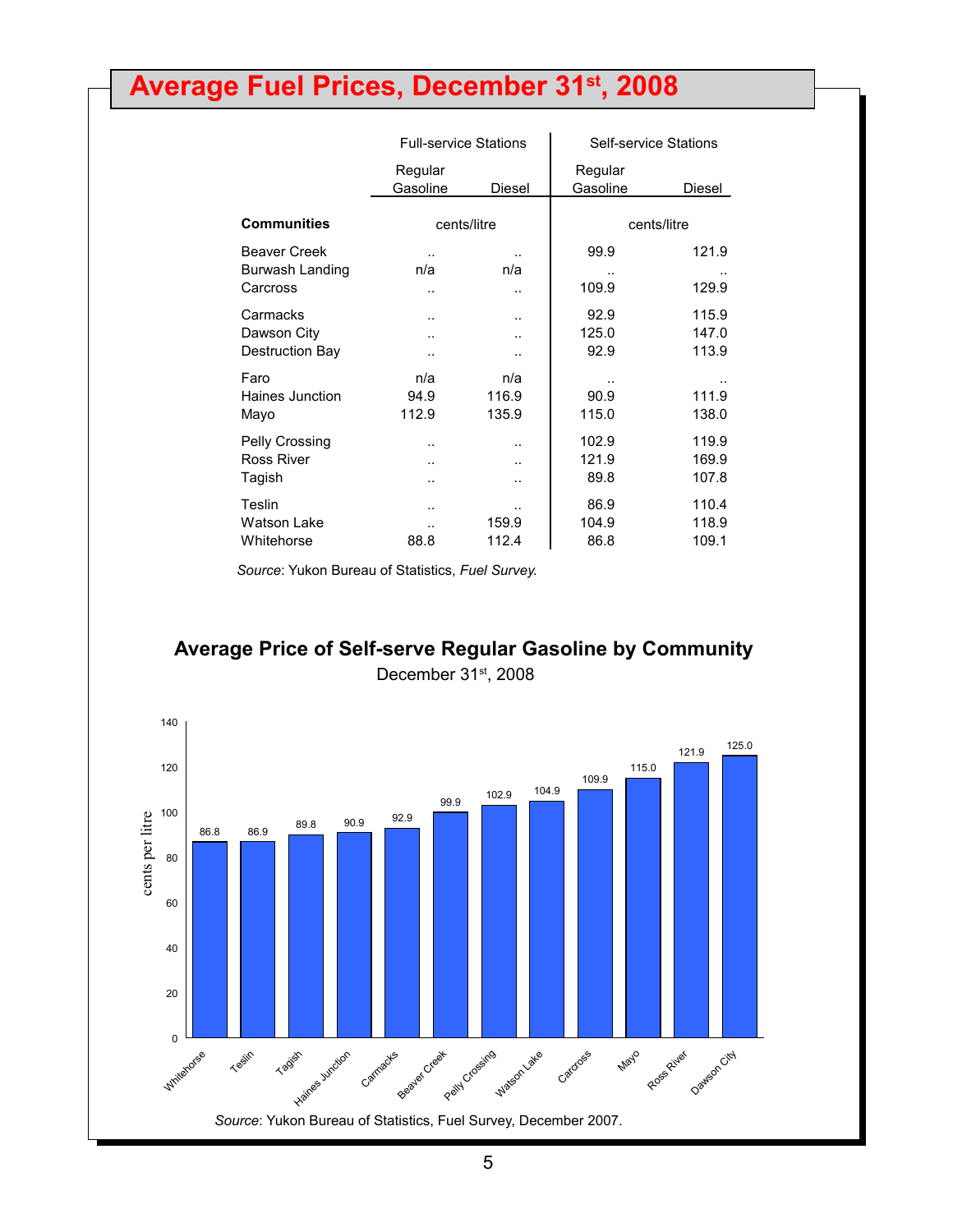# **Average Fuel Prices, December 31st, 2008**

|                                                    | <b>Full-service Stations</b>                                         |                              | Self-service Stations  |                         |
|----------------------------------------------------|----------------------------------------------------------------------|------------------------------|------------------------|-------------------------|
|                                                    | Regular<br>Gasoline                                                  | Diesel                       | Regular<br>Gasoline    | Diesel                  |
| <b>Communities</b>                                 | cents/litre                                                          |                              |                        | cents/litre             |
| <b>Beaver Creek</b><br>Burwash Landing<br>Carcross | n/a<br>$\ddot{\phantom{a}}$                                          | n/a<br>$\ddot{\phantom{a}}$  | 99.9<br>109.9          | 121.9<br>129.9          |
| Carmacks<br>Dawson City<br>Destruction Bay         | $\ddot{\phantom{a}}$<br>$\ddot{\phantom{a}}$<br>$\ddot{\phantom{a}}$ | <br>$\ddot{\phantom{a}}$<br> | 92.9<br>125.0<br>92.9  | 115.9<br>147.0<br>113.9 |
| Faro<br>Haines Junction<br>Mayo                    | n/a<br>94.9<br>112.9                                                 | n/a<br>116.9<br>135.9        | 90.9<br>115.0          | 111.9<br>138.0          |
| Pelly Crossing<br><b>Ross River</b><br>Tagish      | $\ddot{\phantom{a}}$<br>$\ddot{\phantom{a}}$<br>                     | <br><br>                     | 102.9<br>121.9<br>89.8 | 119.9<br>169.9<br>107.8 |
| Teslin<br><b>Watson Lake</b><br>Whitehorse         | <br><br>88.8                                                         | 159.9<br>112.4               | 86.9<br>104.9<br>86.8  | 110.4<br>118.9<br>109.1 |

*Source*: Yukon Bureau of Statistics, *Fuel Survey.*

#### **Average Price of Self-serve Regular Gasoline by Community** December 31st, 2008

![](_page_4_Figure_4.jpeg)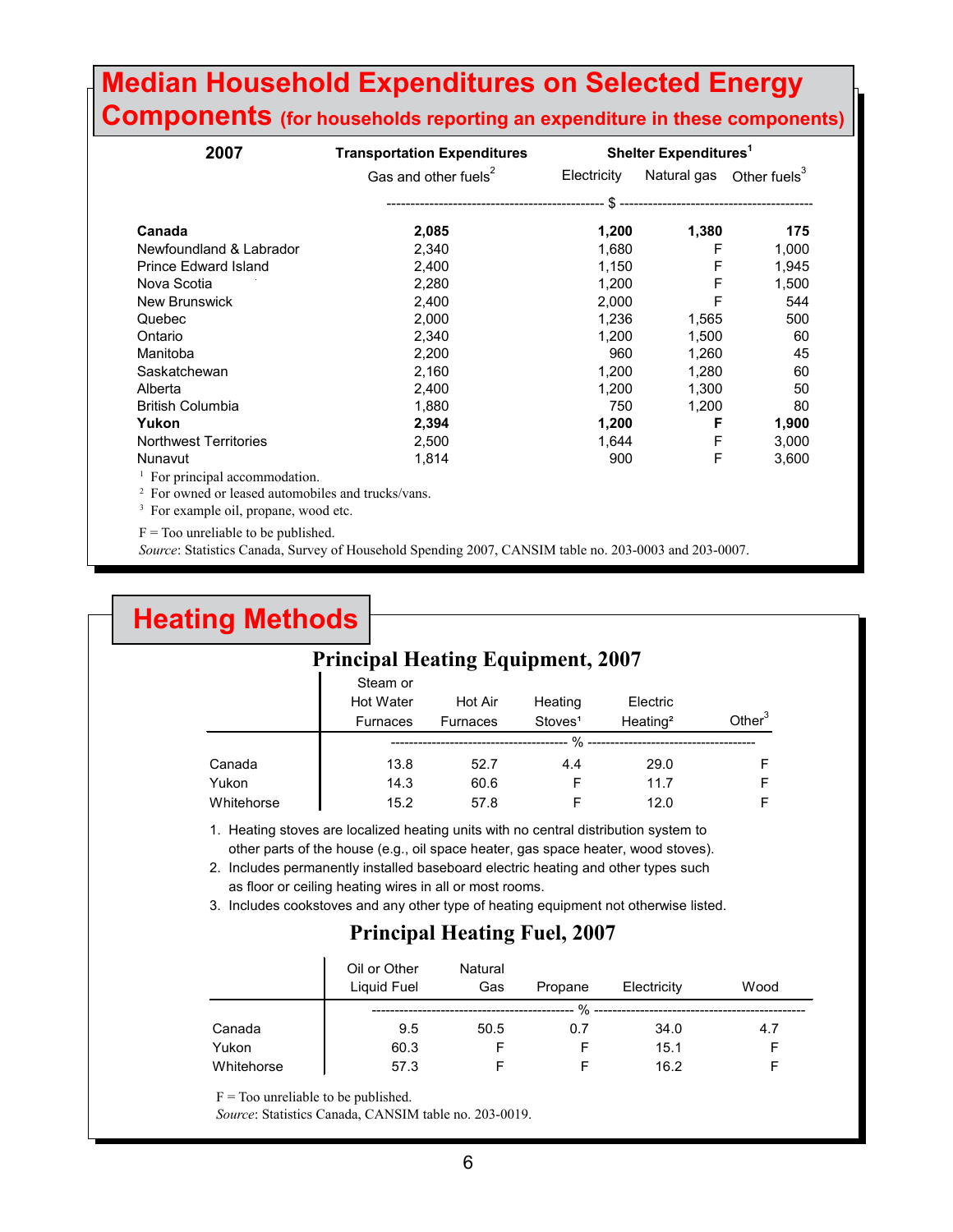### **Median Household Expenditures on Selected Energy Components (for households reporting an expenditure in these components)**

| 2007                                                          | Shelter Expenditures <sup>1</sup> |             |             |                          |
|---------------------------------------------------------------|-----------------------------------|-------------|-------------|--------------------------|
|                                                               | Gas and other fuels <sup>2</sup>  | Electricity | Natural gas | Other fuels <sup>3</sup> |
|                                                               |                                   |             |             |                          |
| Canada                                                        | 2,085                             | 1,200       | 1,380       | 175                      |
| Newfoundland & Labrador                                       | 2,340                             | 1,680       | F           | 1,000                    |
| <b>Prince Edward Island</b>                                   | 2,400                             | 1,150       | F           | 1,945                    |
| Nova Scotia                                                   | 2,280                             | 1,200       | F           | 1,500                    |
| New Brunswick                                                 | 2,400                             | 2,000       | F           | 544                      |
| Quebec                                                        | 2,000                             | 1,236       | 1,565       | 500                      |
| Ontario                                                       | 2,340                             | 1,200       | 1,500       | 60                       |
| Manitoba                                                      | 2,200                             | 960         | 1,260       | 45                       |
| Saskatchewan                                                  | 2,160                             | 1,200       | 1,280       | 60                       |
| Alberta                                                       | 2,400                             | 1,200       | 1,300       | 50                       |
| <b>British Columbia</b>                                       | 1,880                             | 750         | 1,200       | 80                       |
| Yukon                                                         | 2,394                             | 1,200       | F           | 1,900                    |
| <b>Northwest Territories</b>                                  | 2,500                             | 1,644       | F           | 3,000                    |
| Nunavut                                                       | 1,814                             | 900         | F           | 3,600                    |
| <sup>1</sup> For principal accommodation.                     |                                   |             |             |                          |
| <sup>2</sup> For owned or leased automobiles and trucks/vans. |                                   |             |             |                          |
| <sup>3</sup> For example oil, propane, wood etc.              |                                   |             |             |                          |

 $F = Too$  unreliable to be published.

*Source*: Statistics Canada, Survey of Household Spending 2007, CANSIM table no. 203-0003 and 203-0007.

| <b>Heating Methods</b>                   |                                                                                                                                                                                                                                                                                                                        |                 |                     |                      |           |
|------------------------------------------|------------------------------------------------------------------------------------------------------------------------------------------------------------------------------------------------------------------------------------------------------------------------------------------------------------------------|-----------------|---------------------|----------------------|-----------|
| <b>Principal Heating Equipment, 2007</b> |                                                                                                                                                                                                                                                                                                                        |                 |                     |                      |           |
|                                          | Steam or                                                                                                                                                                                                                                                                                                               |                 |                     |                      |           |
|                                          | Hot Water                                                                                                                                                                                                                                                                                                              | Hot Air         | Heating             | Electric             |           |
|                                          | <b>Furnaces</b>                                                                                                                                                                                                                                                                                                        | <b>Furnaces</b> | Stoves <sup>1</sup> | Heating <sup>2</sup> | Other $3$ |
|                                          |                                                                                                                                                                                                                                                                                                                        |                 |                     |                      |           |
| Canada                                   | 13.8                                                                                                                                                                                                                                                                                                                   | 52.7            | 4.4                 | 29.0                 | F         |
| Yukon                                    | 14.3                                                                                                                                                                                                                                                                                                                   | 60.6            | F                   | 11.7                 | F         |
| Whitehorse                               | 15.2                                                                                                                                                                                                                                                                                                                   | 57.8            | F                   | 12.0                 | F         |
| 2.                                       | 1. Heating stoves are localized heating units with no central distribution system to<br>other parts of the house (e.g., oil space heater, gas space heater, wood stoves).<br>Includes permanently installed baseboard electric heating and other types such<br>as floor or ceiling heating wires in all or most rooms. |                 |                     |                      |           |

#### 3. Includes cookstoves and any other type of heating equipment not otherwise listed.

#### **Principal Heating Fuel, 2007**

|            | Oil or Other<br>Liquid Fuel | Natural<br>Gas | Propane | Electricity | Wood |
|------------|-----------------------------|----------------|---------|-------------|------|
|            |                             |                | $\%$    |             |      |
| Canada     | 9.5                         | 50.5           | 0.7     | 34.0        | 4.7  |
| Yukon      | 60.3                        |                |         | 15.1        |      |
| Whitehorse | 57.3                        |                |         | 16.2        |      |

 $F =$ Too unreliable to be published.

*Source*: Statistics Canada, CANSIM table no. 203-0019.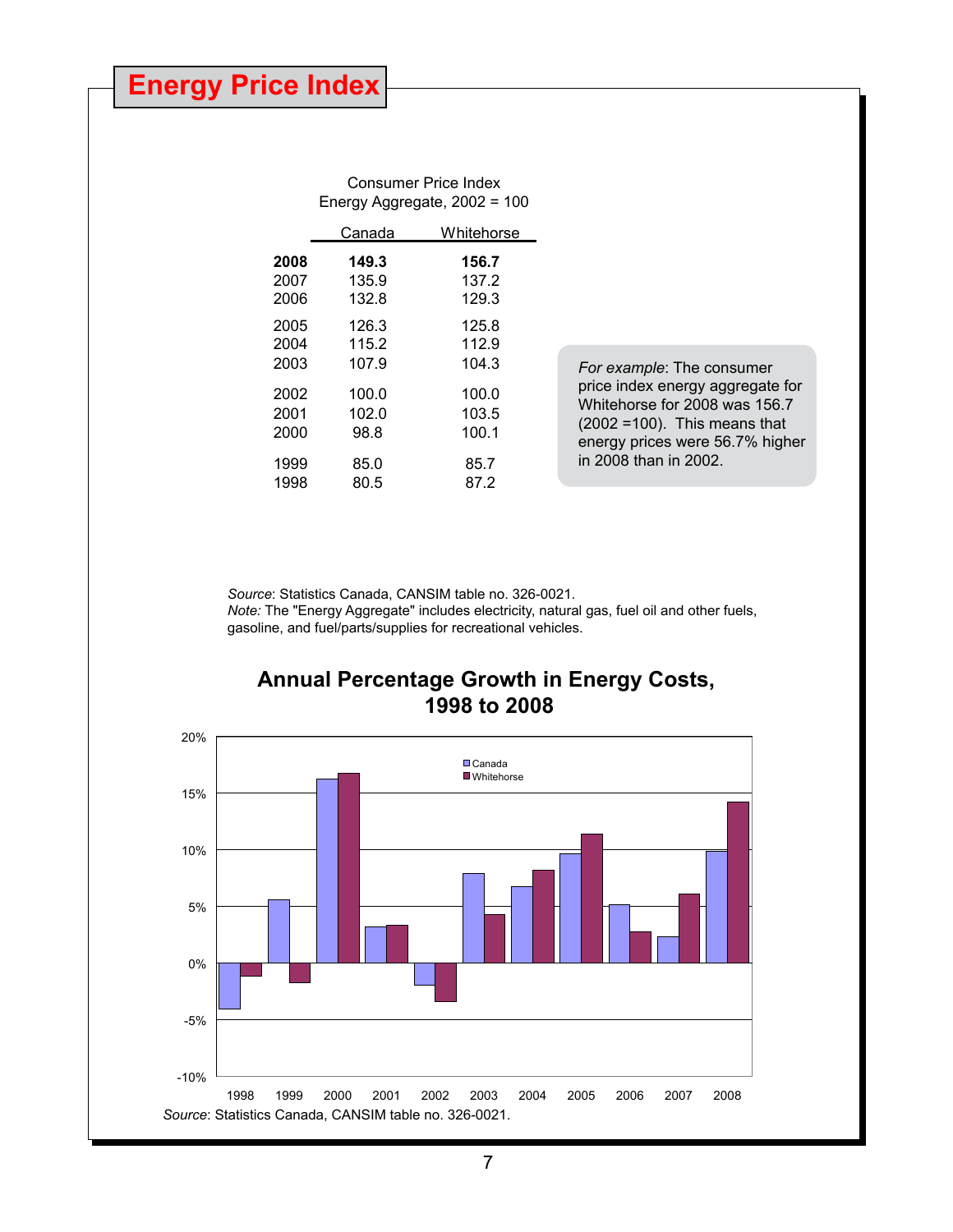|      |        | Consumer Price Index<br>Energy Aggregate, 2002 = 100 |  |
|------|--------|------------------------------------------------------|--|
|      | Canada | Whitehorse                                           |  |
| 2008 | 149.3  | 156.7                                                |  |
| 2007 | 135.9  | 137.2                                                |  |
| 2006 | 132.8  | 129.3                                                |  |
| 2005 | 126.3  | 125.8                                                |  |
| 2004 | 115.2  | 112.9                                                |  |
| 2003 | 107.9  | 104.3                                                |  |
| 2002 | 100.0  | 100.0                                                |  |
| 2001 | 102.0  | 103.5                                                |  |
| 2000 | 98.8   | 100.1                                                |  |
| 1999 | 85.0   | 85.7                                                 |  |
| 1998 | 80.5   | 87.2                                                 |  |

*For example*: The consumer price index energy aggregate for Whitehorse for 2008 was 156.7 (2002 =100). This means that energy prices were 56.7% higher in 2008 than in 2002.

*Source*: Statistics Canada, CANSIM table no. 326-0021. *Note:* The "Energy Aggregate" includes electricity, natural gas, fuel oil and other fuels, gasoline, and fuel/parts/supplies for recreational vehicles.

### **Annual Percentage Growth in Energy Costs, 1998 to 2008**

![](_page_6_Figure_5.jpeg)